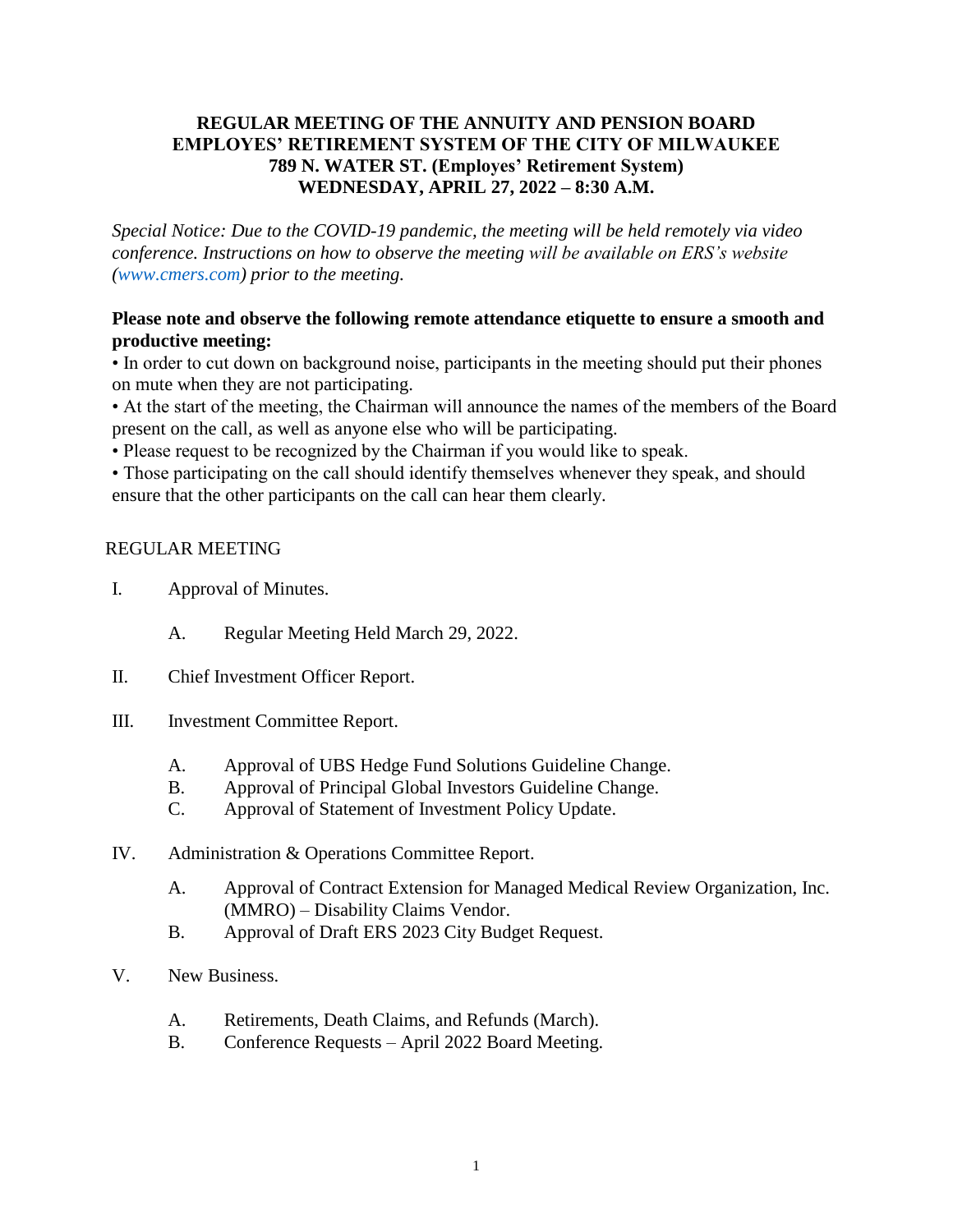## **REGULAR MEETING OF THE ANNUITY AND PENSION BOARD EMPLOYES' RETIREMENT SYSTEM OF THE CITY OF MILWAUKEE 789 N. WATER ST. (Employes' Retirement System) WEDNESDAY, APRIL 27, 2022 – 8:30 A.M.**

*Special Notice: Due to the COVID-19 pandemic, the meeting will be held remotely via video conference. Instructions on how to observe the meeting will be available on ERS's website [\(www.cmers.com\)](http://www.cmers.com/) prior to the meeting.*

## **Please note and observe the following remote attendance etiquette to ensure a smooth and productive meeting:**

• In order to cut down on background noise, participants in the meeting should put their phones on mute when they are not participating.

• At the start of the meeting, the Chairman will announce the names of the members of the Board present on the call, as well as anyone else who will be participating.

• Please request to be recognized by the Chairman if you would like to speak.

• Those participating on the call should identify themselves whenever they speak, and should ensure that the other participants on the call can hear them clearly.

## REGULAR MEETING

- I. Approval of Minutes.
	- A. Regular Meeting Held March 29, 2022.
- II. Chief Investment Officer Report.
- III. Investment Committee Report.
	- A. Approval of UBS Hedge Fund Solutions Guideline Change.
	- B. Approval of Principal Global Investors Guideline Change.
	- C. Approval of Statement of Investment Policy Update.
- IV. Administration & Operations Committee Report.
	- A. Approval of Contract Extension for Managed Medical Review Organization, Inc. (MMRO) – Disability Claims Vendor.
	- B. Approval of Draft ERS 2023 City Budget Request.
- V. New Business.
	- A. Retirements, Death Claims, and Refunds (March).
	- B. Conference Requests April 2022 Board Meeting.